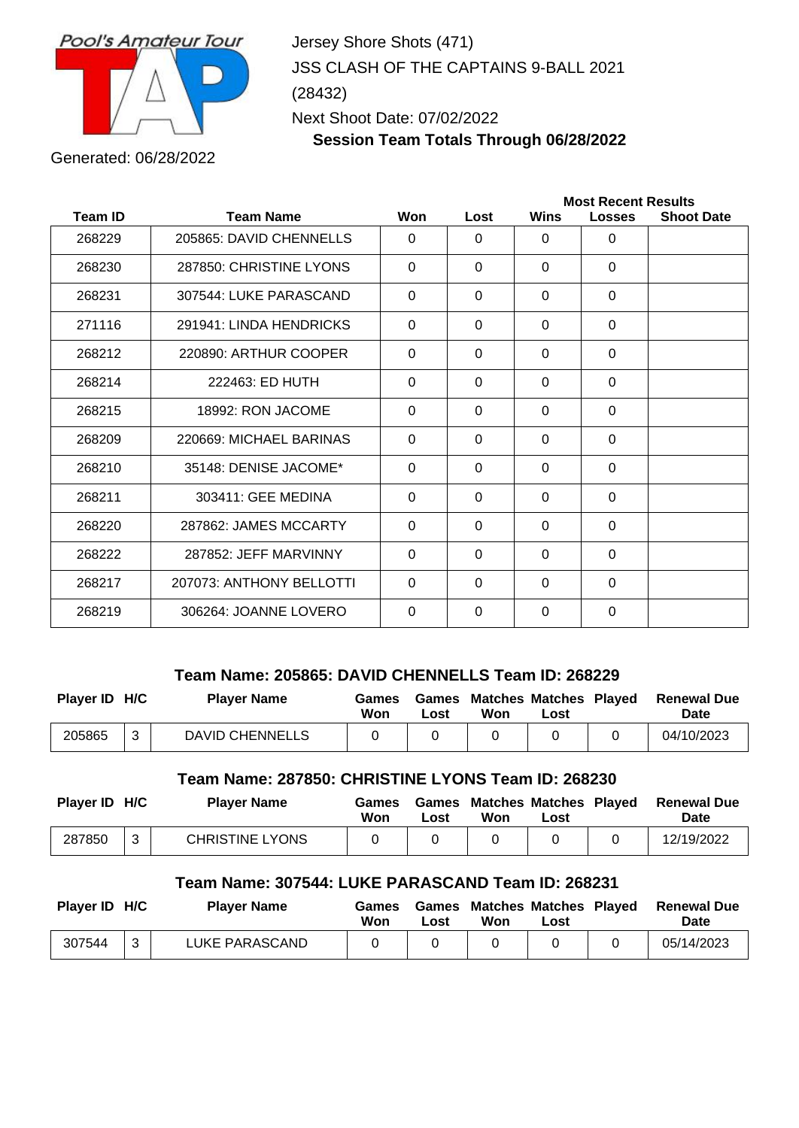

Jersey Shore Shots (471) JSS CLASH OF THE CAPTAINS 9-BALL 2021 (28432) Next Shoot Date: 07/02/2022

**Session Team Totals Through 06/28/2022**

Generated: 06/28/2022

|                |                          |          |             | <b>Most Recent Results</b> |               |                   |  |  |
|----------------|--------------------------|----------|-------------|----------------------------|---------------|-------------------|--|--|
| <b>Team ID</b> | <b>Team Name</b>         | Won      | Lost        | Wins                       | <b>Losses</b> | <b>Shoot Date</b> |  |  |
| 268229         | 205865: DAVID CHENNELLS  | $\Omega$ | $\Omega$    | $\Omega$                   | $\Omega$      |                   |  |  |
| 268230         | 287850: CHRISTINE LYONS  | $\Omega$ | $\Omega$    | $\Omega$                   | $\Omega$      |                   |  |  |
| 268231         | 307544: LUKE PARASCAND   | $\Omega$ | $\Omega$    | $\Omega$                   | $\Omega$      |                   |  |  |
| 271116         | 291941: LINDA HENDRICKS  | $\Omega$ | $\Omega$    | $\Omega$                   | $\Omega$      |                   |  |  |
| 268212         | 220890: ARTHUR COOPER    | $\Omega$ | $\Omega$    | $\Omega$                   | $\Omega$      |                   |  |  |
| 268214         | 222463: ED HUTH          | $\Omega$ | $\mathbf 0$ | $\Omega$                   | $\Omega$      |                   |  |  |
| 268215         | 18992: RON JACOME        | $\Omega$ | $\Omega$    | $\Omega$                   | $\Omega$      |                   |  |  |
| 268209         | 220669: MICHAEL BARINAS  | $\Omega$ | $\Omega$    | $\Omega$                   | $\Omega$      |                   |  |  |
| 268210         | 35148: DENISE JACOME*    | $\Omega$ | 0           | $\Omega$                   | $\Omega$      |                   |  |  |
| 268211         | 303411: GEE MEDINA       | $\Omega$ | $\Omega$    | $\Omega$                   | $\Omega$      |                   |  |  |
| 268220         | 287862: JAMES MCCARTY    | $\Omega$ | 0           | $\Omega$                   | $\Omega$      |                   |  |  |
| 268222         | 287852: JEFF MARVINNY    | $\Omega$ | $\Omega$    | $\Omega$                   | $\Omega$      |                   |  |  |
| 268217         | 207073: ANTHONY BELLOTTI | $\Omega$ | $\Omega$    | $\Omega$                   | $\Omega$      |                   |  |  |
| 268219         | 306264: JOANNE LOVERO    | $\Omega$ | $\mathbf 0$ | $\Omega$                   | $\Omega$      |                   |  |  |

## **Team Name: 205865: DAVID CHENNELLS Team ID: 268229**

| Player ID H/C |   | <b>Player Name</b>     | Games<br>Won | ∟ost | <b>Games Matches Matches Played</b><br>Won | Lost | <b>Renewal Due</b><br><b>Date</b> |
|---------------|---|------------------------|--------------|------|--------------------------------------------|------|-----------------------------------|
| 205865        | ີ | <b>DAVID CHENNELLS</b> |              |      |                                            |      | 04/10/2023                        |

**Team Name: 287850: CHRISTINE LYONS Team ID: 268230**

| Player ID H/C |   | <b>Plaver Name</b>     | Games<br>Won | ∟ost | <b>Games Matches Matches Played</b><br>Won | Lost | <b>Renewal Due</b><br><b>Date</b> |
|---------------|---|------------------------|--------------|------|--------------------------------------------|------|-----------------------------------|
| 287850        | ີ | <b>CHRISTINE LYONS</b> |              |      |                                            |      | 12/19/2022                        |

## **Team Name: 307544: LUKE PARASCAND Team ID: 268231**

| Player ID H/C | <b>Player Name</b> | Games<br>Won | Lost | <b>Games Matches Matches Played</b><br>Won | Lost | <b>Renewal Due</b><br><b>Date</b> |
|---------------|--------------------|--------------|------|--------------------------------------------|------|-----------------------------------|
| 307544        | LUKE PARASCAND     |              |      |                                            |      | 05/14/2023                        |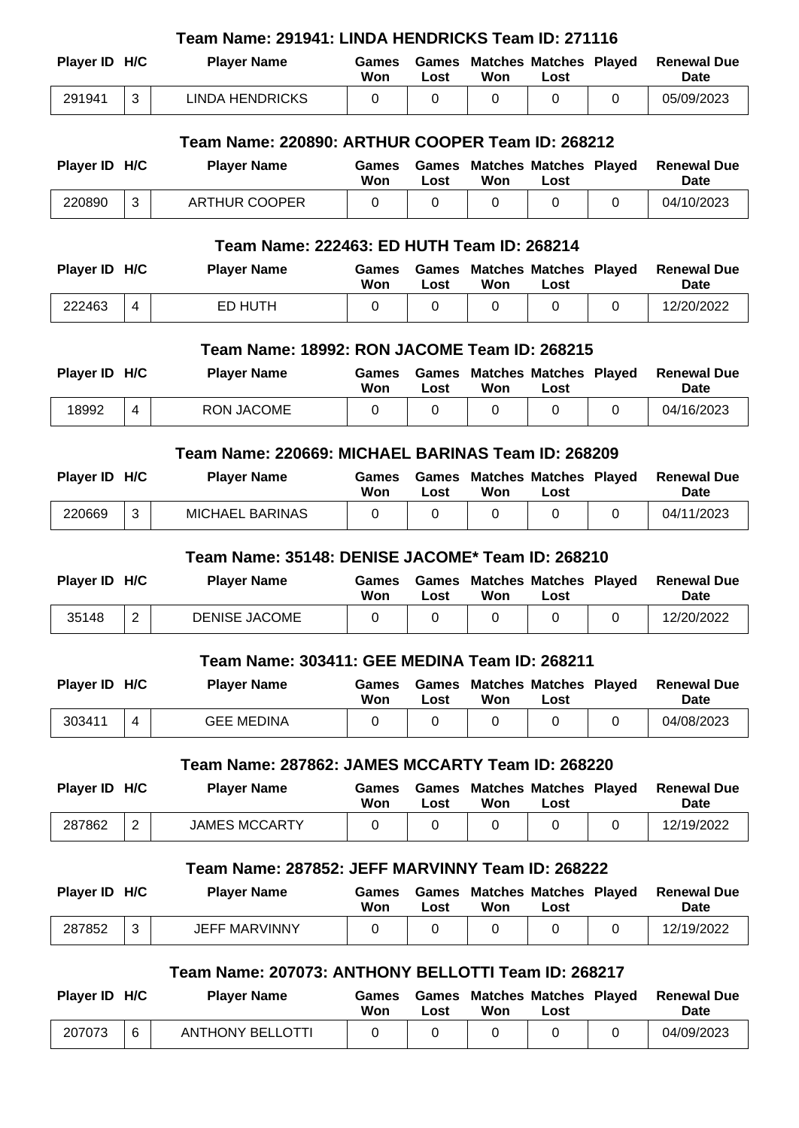| Team Name: 291941: LINDA HENDRICKS Team ID: 271116 |                                              |                                                     |                     |                      |                                            |                                       |          |                                   |  |
|----------------------------------------------------|----------------------------------------------|-----------------------------------------------------|---------------------|----------------------|--------------------------------------------|---------------------------------------|----------|-----------------------------------|--|
| Player ID H/C                                      |                                              | <b>Player Name</b>                                  | Games<br>Won        | Games<br>Lost        | Won                                        | <b>Matches Matches Played</b><br>Lost |          | <b>Renewal Due</b><br><b>Date</b> |  |
| 291941                                             | 3                                            | <b>LINDA HENDRICKS</b>                              | 0                   | 0                    | 0                                          | 0                                     | 0        | 05/09/2023                        |  |
|                                                    |                                              | Team Name: 220890: ARTHUR COOPER Team ID: 268212    |                     |                      |                                            |                                       |          |                                   |  |
| Player ID H/C                                      |                                              | <b>Player Name</b>                                  | Games<br>Won        | <b>Games</b><br>Lost | Won                                        | <b>Matches Matches Played</b><br>Lost |          | <b>Renewal Due</b><br><b>Date</b> |  |
| 220890                                             | 3                                            | <b>ARTHUR COOPER</b>                                | $\Omega$            | $\overline{0}$       | 0                                          | $\Omega$                              | 0        | 04/10/2023                        |  |
|                                                    |                                              | Team Name: 222463: ED HUTH Team ID: 268214          |                     |                      |                                            |                                       |          |                                   |  |
| Player ID H/C                                      |                                              | <b>Player Name</b>                                  | <b>Games</b><br>Won | Games<br>Lost        | Won                                        | <b>Matches Matches Played</b><br>Lost |          | <b>Renewal Due</b><br>Date        |  |
| 222463                                             | $\overline{4}$                               | <b>ED HUTH</b>                                      | 0                   | 0                    | 0                                          | $\Omega$                              | $\Omega$ | 12/20/2022                        |  |
|                                                    | Team Name: 18992: RON JACOME Team ID: 268215 |                                                     |                     |                      |                                            |                                       |          |                                   |  |
| Player ID H/C                                      |                                              | <b>Player Name</b>                                  | <b>Games</b><br>Won | Games<br>Lost        | Won                                        | <b>Matches Matches Played</b><br>Lost |          | <b>Renewal Due</b><br>Date        |  |
| 18992                                              | $\overline{4}$                               | <b>RON JACOME</b>                                   | 0                   | $\mathbf 0$          | 0                                          | $\mathbf 0$                           | 0        | 04/16/2023                        |  |
| Team Name: 220669: MICHAEL BARINAS Team ID: 268209 |                                              |                                                     |                     |                      |                                            |                                       |          |                                   |  |
| Player ID H/C                                      |                                              | <b>Player Name</b>                                  | <b>Games</b>        |                      | <b>Games Matches Matches Played</b>        |                                       |          | <b>Renewal Due</b>                |  |
|                                                    |                                              |                                                     | Won                 | Lost                 | Won                                        | Lost                                  |          | <b>Date</b>                       |  |
| 220669                                             | 3                                            | <b>MICHAEL BARINAS</b>                              | $\Omega$            | $\Omega$             | 0                                          | $\Omega$                              | $\Omega$ | 04/11/2023                        |  |
|                                                    |                                              | Team Name: 35148: DENISE JACOME* Team ID: 268210    |                     |                      |                                            |                                       |          |                                   |  |
| Player ID H/C                                      |                                              | <b>Player Name</b>                                  | <b>Games</b><br>Won | Lost                 | <b>Games Matches Matches Played</b><br>Won | Lost                                  |          | <b>Renewal Due</b><br>Date        |  |
| 35148                                              | $\overline{2}$                               | <b>DENISE JACOME</b>                                | 0                   | $\mathbf 0$          | 0                                          | $\mathbf 0$                           | 0        | 12/20/2022                        |  |
|                                                    |                                              | Team Name: 303411: GEE MEDINA Team ID: 268211       |                     |                      |                                            |                                       |          |                                   |  |
| Player ID H/C                                      |                                              | <b>Player Name</b>                                  | <b>Games</b><br>Won | Games<br>Lost        | Won                                        | <b>Matches Matches Played</b><br>Lost |          | <b>Renewal Due</b><br><b>Date</b> |  |
| 303411                                             | 4                                            | <b>GEE MEDINA</b>                                   | 0                   | 0                    | 0                                          | 0                                     | 0        | 04/08/2023                        |  |
|                                                    |                                              | Team Name: 287862: JAMES MCCARTY Team ID: 268220    |                     |                      |                                            |                                       |          |                                   |  |
| Player ID H/C                                      |                                              | <b>Player Name</b>                                  | <b>Games</b><br>Won | Games<br>Lost        | <b>Matches Matches Played</b><br>Won       | Lost                                  |          | <b>Renewal Due</b><br>Date        |  |
| 287862                                             | 2                                            | <b>JAMES MCCARTY</b>                                | $\Omega$            | 0                    | $\Omega$                                   | 0                                     | $\Omega$ | 12/19/2022                        |  |
|                                                    |                                              | Team Name: 287852: JEFF MARVINNY Team ID: 268222    |                     |                      |                                            |                                       |          |                                   |  |
| Player ID H/C                                      |                                              | <b>Player Name</b>                                  | <b>Games</b><br>Won | Games<br>Lost        | <b>Matches Matches Played</b><br>Won       | Lost                                  |          | <b>Renewal Due</b><br>Date        |  |
| 287852                                             | 3                                            | <b>JEFF MARVINNY</b>                                | $\Omega$            | $\mathbf 0$          | 0                                          | 0                                     | 0        | 12/19/2022                        |  |
|                                                    |                                              | Team Name: 207073: ANTHONY BELLOTTI Team ID: 268217 |                     |                      |                                            |                                       |          |                                   |  |
| Player ID H/C                                      |                                              | <b>Player Name</b>                                  | Games               |                      | <b>Games Matches Matches Played</b>        |                                       |          | <b>Renewal Due</b>                |  |

**Won**

207073 6 ANTHONY BELLOTTI 0 0 0 0 0 0 0 04/09/2023

**Lost**

**Won**

**Lost**

**Date**